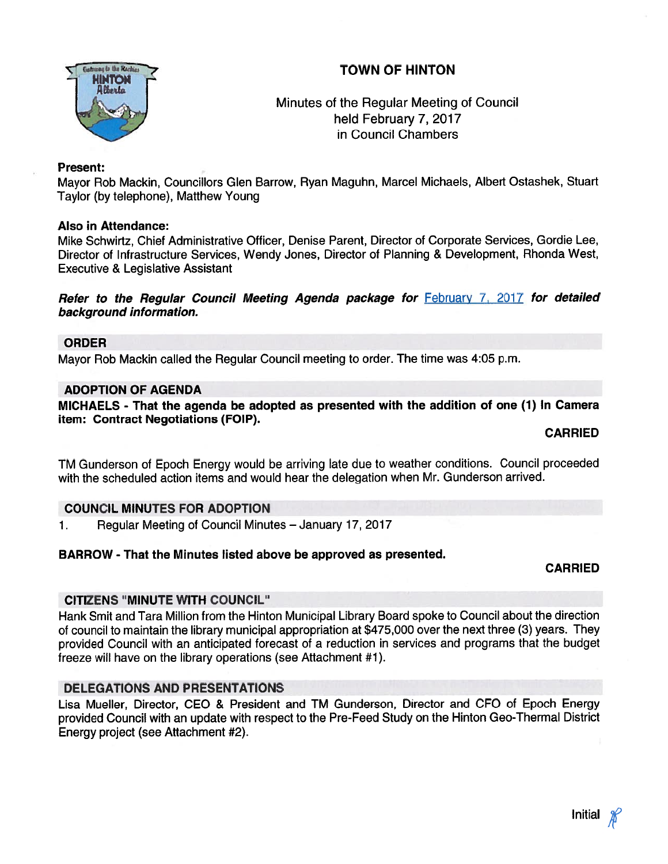## TOWN OF HINTON



Minutes of the Regular Meeting of Council . held February 7, 2017 in Council Chambers

#### Present:

Mayor Rob Mackin, Councillors Glen Barrow, Ryan Maguhn, Marcel Michaels, Albert Ostashek, Stuart Taylor (by telephone), Matthew Young

### Also in Attendance:

Mike Schwirtz, Chief Administrative Officer, Denise Parent, Director of Corporate Services, Gordie Lee, Director of Infrastructure Services, Wendy Jones, Director of Planning & Development, Rhonda West, Executive & Legislative Assistant

#### Refer to the Regular Council Meeting Agenda package for February 7, 2017 for detailed background information.

## ORDER

Mayor Rob Mackin called the Regular Council meeting to order. The time was 4:05 p.m.

### ADOPTION OF AGENDA

MICHAELS - That the agenda be adopted as presented with the addition of one (1) In Camera item: Contract Negotiations (FOIP).

CARRIED

TM Gunderson of Epoch Energy would be arriving late due to weather conditions. Council proceeded with the scheduled action items and would hear the delegation when Mr. Gunderson arrived.

### COUNCIL MINUTES FOR ADOPTION

1. Regular Meeting of Council Minutes — January 17, 2017

### BARROW - That the Minutes listed above be approved as presented.

### CARRIED

### CITIZENS 'MINUTE WITH COUNCIL"

Hank Smit and Tara Million from the Hinton Municipal Library Board spoke to Council about the direction of council to maintain the library municipal appropriation at \$475,000 over the next three (3) years. They provided Council with an anticipated forecast of <sup>a</sup> reduction in services and programs that the budget freeze will have on the library operations (see Attachment #1).

## DELEGATIONS AND PRESENTATIONS

Lisa Mueller, Director, CEO & President and TM Gunderson, Director and CEO of Epoch Energy provided Council with an update with respec<sup>t</sup> to the Pre-Feed Study on the Hinton Geo-Thermal District Energy project (see Attachment #2).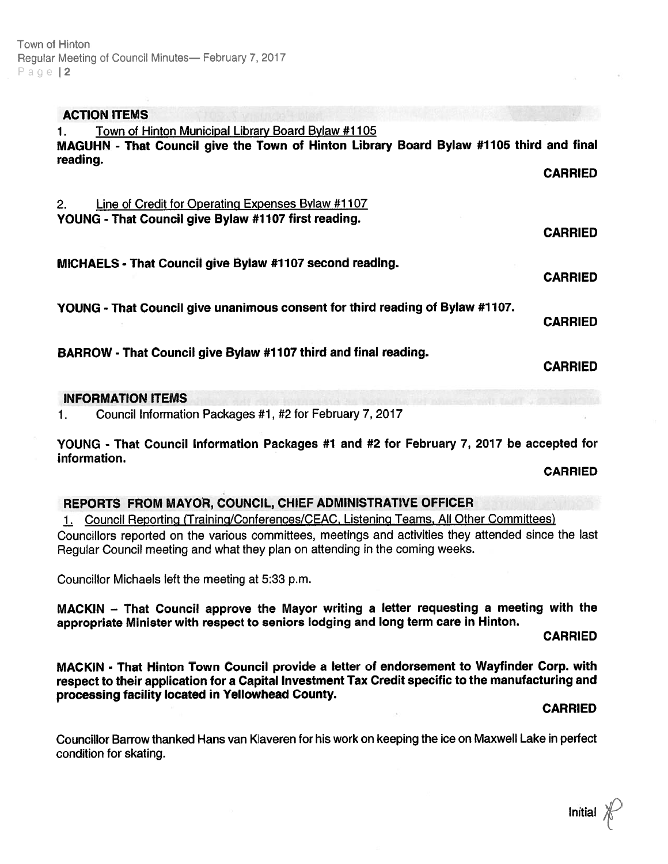## ACTION ITEMS

| Town of Hinton Municipal Library Board Bylaw #1105<br>$\mathbf{1}_{\cdot}$              |                |
|-----------------------------------------------------------------------------------------|----------------|
| MAGUHN - That Council give the Town of Hinton Library Board Bylaw #1105 third and final |                |
| reading.                                                                                |                |
|                                                                                         | <b>CARRIED</b> |
|                                                                                         |                |
| Line of Credit for Operating Expenses Bylaw #1107<br>2.                                 |                |
| YOUNG - That Council give Bylaw #1107 first reading.                                    |                |
|                                                                                         | <b>CARRIED</b> |
|                                                                                         |                |
| MICHAELS - That Council give Bylaw #1107 second reading.                                |                |
|                                                                                         | <b>CARRIED</b> |
|                                                                                         |                |
| YOUNG - That Council give unanimous consent for third reading of Bylaw #1107.           |                |
|                                                                                         | <b>CARRIED</b> |
|                                                                                         |                |
| BARROW - That Council give Bylaw #1107 third and final reading.                         |                |
|                                                                                         | <b>CARRIED</b> |

## iNFORMATION ITEMS

1. Council Information Packages #1, #2 for February 7, 2017

YOUNG - That Council Information Packages #1 and #2 for February 7, 2017 be accepted for information.

CARRIED

### REPORTS FROM MAYOR, COUNCIL, CHIEF ADMINISTRATIVE OFFICER

1. Council Reporting (Training/Conferences/CEAC, Listening Teams, All Other Committees)

Councillors reported on the various committees, meetings and activities they attended since the last Regular Council meeting and what they <sup>p</sup>lan on attending in the coming weeks.

Councillor Michaels left the meeting at 5:33 p.m.

MACKIN — That Council approve the Mayor writing <sup>a</sup> letter requesting <sup>a</sup> meeting with the appropriate Minister with respec<sup>t</sup> to seniors lodging and long term care in Hinton.

CARRIED

MACKIN - That Hinton Town Council provide <sup>a</sup> letter of endorsement to Wayfinder Corp. with respec<sup>t</sup> to their application for <sup>a</sup> Capital Investment Tax Credit specific to the manufacturing and processing facility located in Yellowhead County.

#### CARRIED

Councillor Barrow thanked Hans van Klaveren for his work on keeping the ice on Maxwell Lake in perfect condition for skating.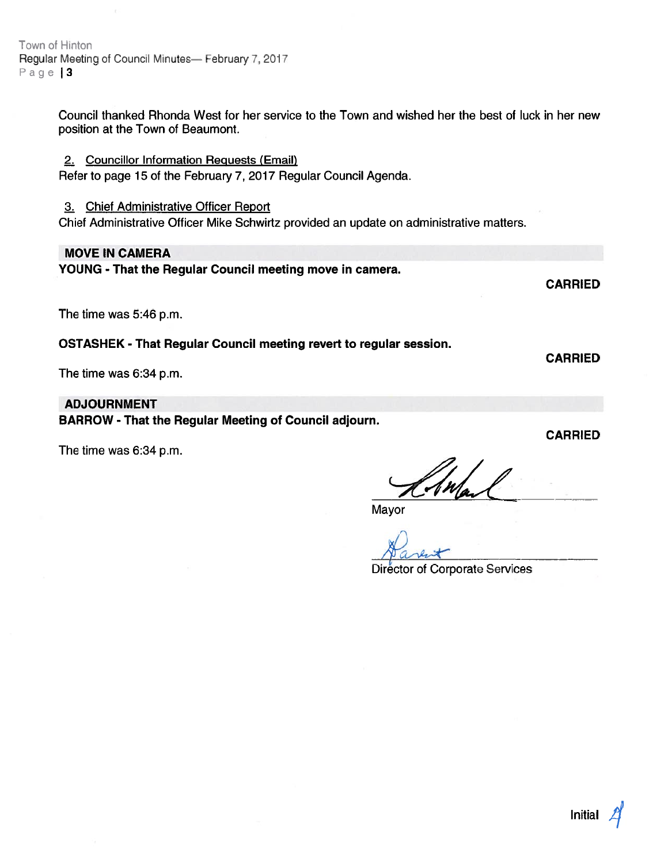Town of Hinton Regular Meeting of Council Minutes— February 7, 2017 Page | 3

> Council thanked Rhonda West for her service to the Town and wished her the best of luck in her new position at the Town of Beaumont.

2. Councillor Information Requests (Email)

Refer to page 15 of the February 7, 2017 Regular Council Agenda.

3. Chief Administrative Officer Report

Chief Administrative Officer Mike Schwirtz provided an update on administrative matters.

#### MOVE IN CAMERA

YOUNG - That the Regular Council meeting move in camera.

The time was 5:46 p.m.

OSTASHEK - That Regular Council meeting revert to regular session.

The time was 6:34 p.m.

#### ADJOURNMENT

BARROW - That the Regular Meeting of Council adjourn.

The time was 6:34 p.m.

CARRIED

CARRIED

CARRIED

Mayor

Director of Corporate Services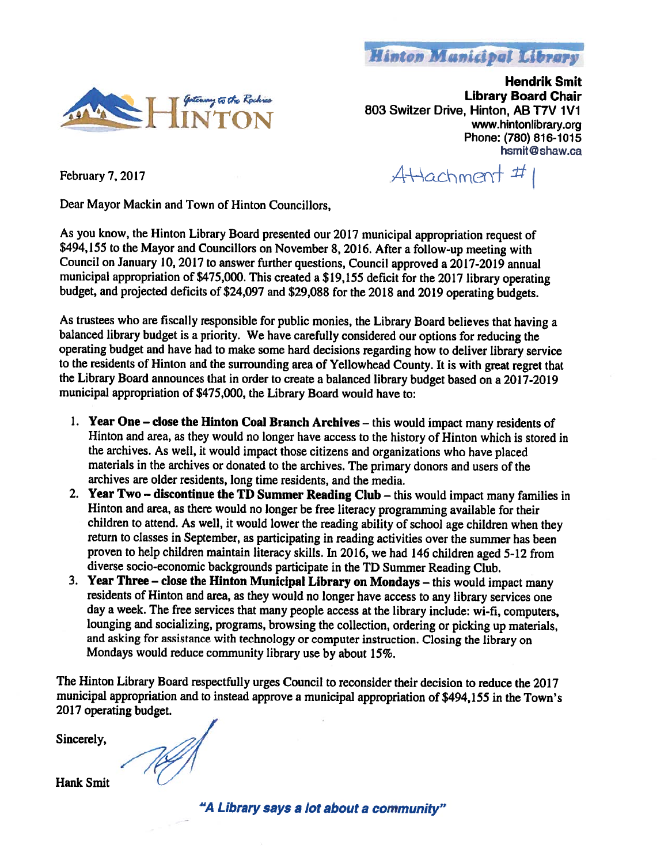



Hendrik Smit Library Board Chair Minton Manicipal Library<br>Hendrik Smi<br>Library Board Chai<br>803 Switzer Drive, Hinton, AB T7V 1V1 Minton Manicipal Library<br>Hendrik Smit<br>Library Board Chair<br>INTON 803 Switzer Drive, Hinton, AB T7V 1V1<br>www.hintonlibrary.org Phone: (780) 816-1015 hsmit@shaw.ca

February 7, 2017  $A+\lambda a$ chment  $\#$ 

Dear Mayor Mackin and Town of Hinton Councillors,

As you know, the Hinton Library Board presented our 2017 municipal appropriation request of \$494,155 to the Mayor and Councillors on November 8, 2016. After <sup>a</sup> follow-up meeting with Council on January 10, 2017 to answer further questions, Council approved a 2017-2019 annual municipal appropriation of \$475,000. This created <sup>a</sup> \$19,155 deficit for the <sup>2017</sup> library operating budget, and projected deficits of \$24,097 and \$29,088 for the <sup>2018</sup> and <sup>2019</sup> operating budgets.

As trustees who are fiscally responsible for public monies, the Library Board believes that having <sup>a</sup> balanced library budget is <sup>a</sup> priority. We have carefully considered our options for reducing the operating budget and have had to make some hard decisions regarding how to deliver library service to the residents of Hinton and the surrounding area of Yellowhead County. It is with grea<sup>t</sup> regre<sup>t</sup> that the Library Board announces that in order to create <sup>a</sup> balanced library budget based on <sup>a</sup> 2017-20 <sup>19</sup> municipal appropriation of \$475,000, the Library Board would have to:

- 1. Year One close the Hinton Coal Branch Archives this would impact many residents of Hinton and area, as they would no longer have access to the history of Hinton which is stored in the archives. As well, it would impact those citizens and organizations who have <sup>p</sup>laced materials in the archives or donated to the archives. The primary donors and users of the archives are older residents, long time residents, and the media.
- 2. Year Two discontinue the TD Summer Reading Club this would impact many families in Hinton and area, as there would no longer be free literacy programming available for their children to attend. As well, it would lower the reading ability of school age children when they return to classes in September, as participating in reading activities over the summer has been proven to help children maintain literacy skills. In 2016, we had <sup>146</sup> children age<sup>d</sup> 5-12 from diverse socio-economic backgrounds participate in the TD Summer Reading Club.
- 3. Year Three close the Hinton Municipal Library on Mondays this would impact many residents of Hinton and area, as they would no longer have access to any library services one day <sup>a</sup> week. The free services that many people access at the library include: wi-fl, computers, lounging and socializing, programs, browsing the collection, ordering or <sup>p</sup>icking up materials, and asking for assistance with technology or computer instruction. Closing the library on Mondays would reduce community library use by about 15%.

The Hinton Library Board respectfully urges Council to reconsider their decision to reduce the <sup>2017</sup> municipal appropriation and to instead approve <sup>a</sup> municipal appropriation of \$494,155 in the Town's 2017 operating budget.

Sincerely,

Hank Smit

"A Library says <sup>a</sup> lot about <sup>a</sup> community"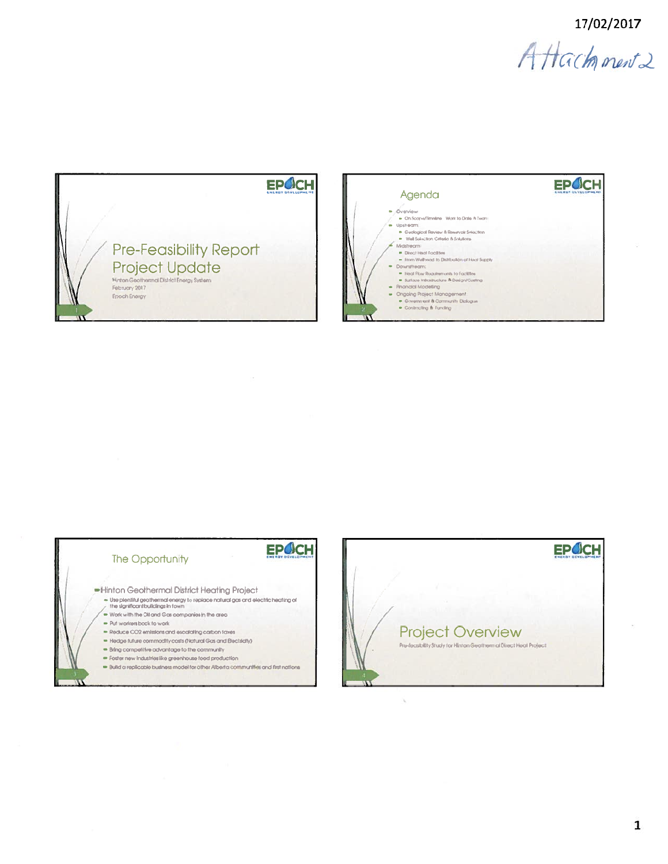17/02/2017

Attachment2









ù.

 $\mathbf{1}$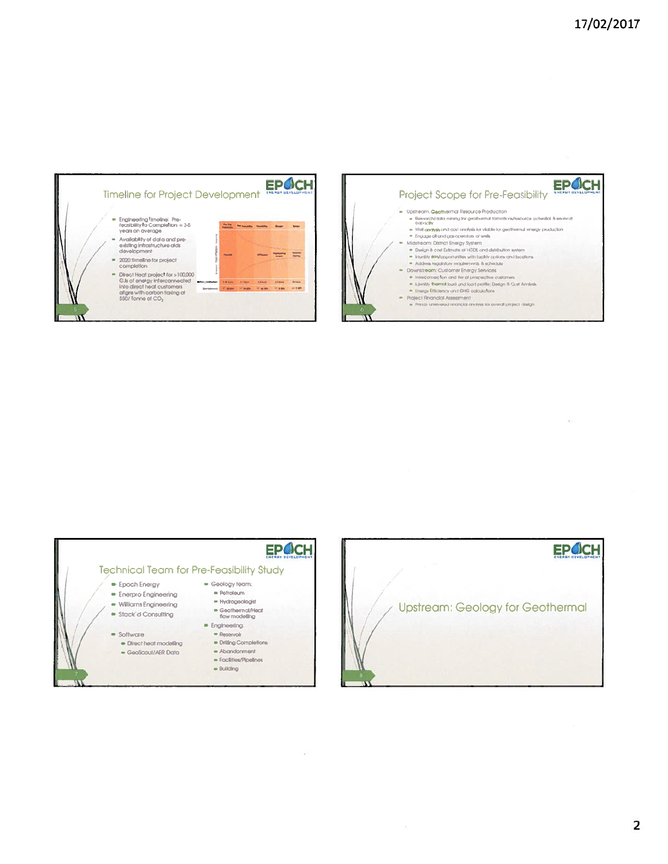$\pm$ 







 $\langle\cdot,\cdot\rangle$ 



 $\sim$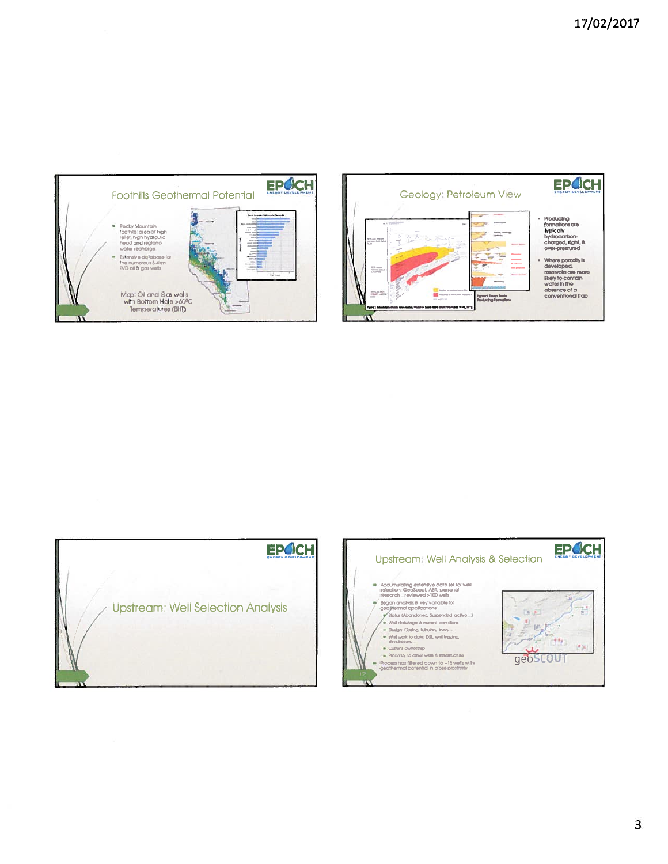



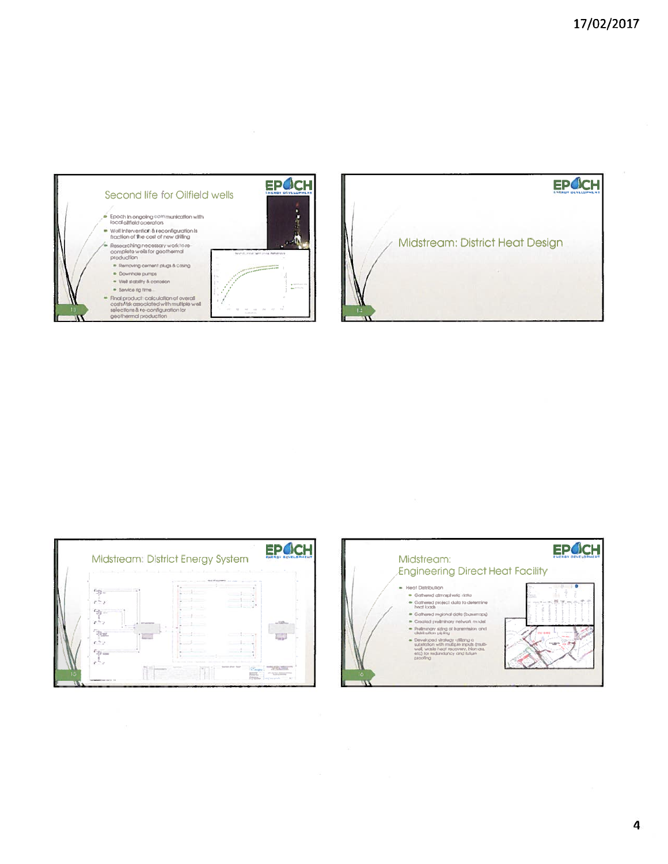







4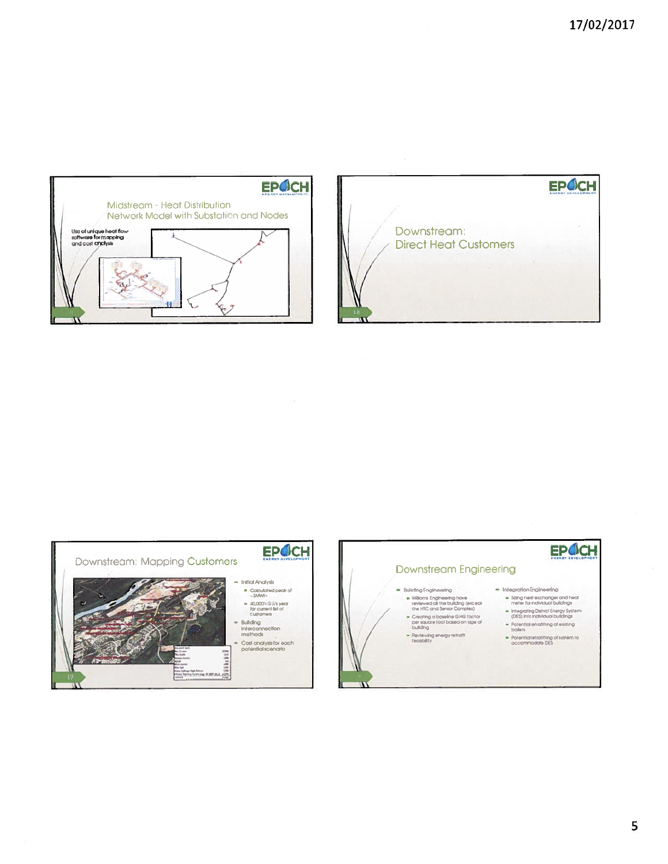





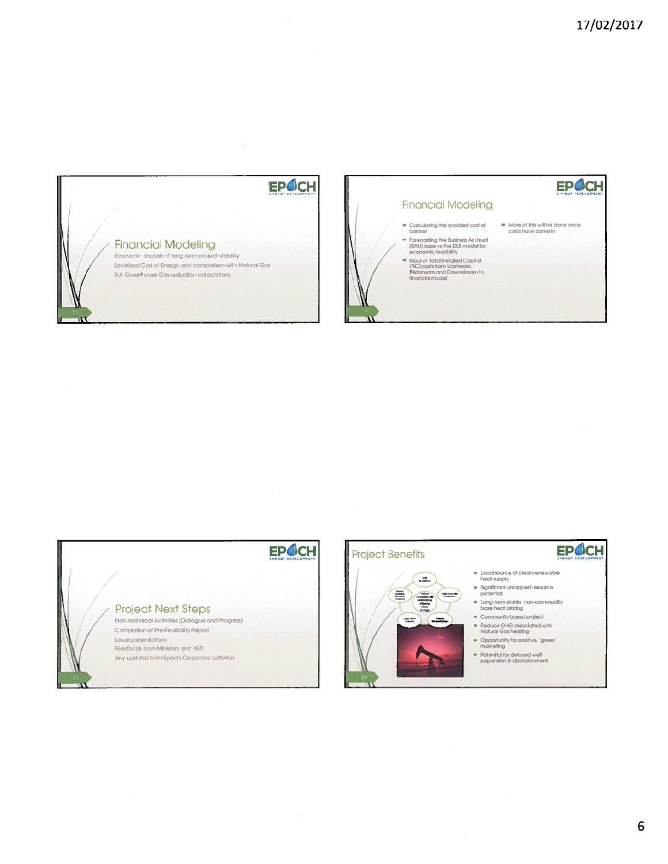

 $\widetilde{\mathcal{R}}$ 





#### **Project Benefits**

画 偏

22

 $\frac{16}{6 \text{ m} \cdot \text{m}}$ 

# EPOCH

- Local source of clean renewable<br>heat supply
- Significant untapped resource<br>potential
- bing-term stable "non-commodity"<br>base heat pricing
- Community based project
- Reduce GHG associated with<br>Natural Gas heating
- Opportunity for positive, "green"<br>marketing
- Potential for delayed well<br>suspension & abandonment